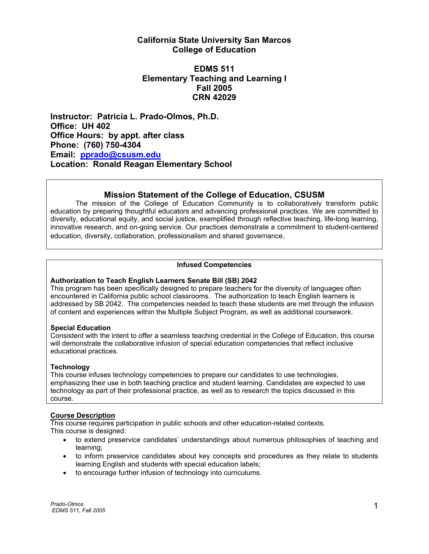# **California State University San Marcos College of Education**

# **EDMS 511 Elementary Teaching and Learning I Fall 2005 CRN 42029**

**Instructor: Patricia L. Prado-Olmos, Ph.D. Office: UH 402 Office Hours: by appt. after class Phone: (760) 750-4304 Email: pprado@csusm.edu Location: Ronald Reagan Elementary School** 

# **Mission Statement of the College of Education, CSUSM**

 The mission of the College of Education Community is to collaboratively transform public education by preparing thoughtful educators and advancing professional practices. We are committed to diversity, educational equity, and social justice, exemplified through reflective teaching, life-long learning, innovative research, and on-going service. Our practices demonstrate a commitment to student-centered education, diversity, collaboration, professionalism and shared governance.

# **Infused Competencies**

# **Authorization to Teach English Learners Senate Bill (SB) 2042**

This program has been specifically designed to prepare teachers for the diversity of languages often encountered in California public school classrooms. The authorization to teach English learners is addressed by SB 2042. The competencies needed to teach these students are met through the infusion of content and experiences within the Multiple Subject Program, as well as additional coursework.

### **Special Education**

Consistent with the intent to offer a seamless teaching credential in the College of Education, this course will demonstrate the collaborative infusion of special education competencies that reflect inclusive educational practices.

# **Technology**

This course infuses technology competencies to prepare our candidates to use technologies, emphasizing their use in both teaching practice and student learning. Candidates are expected to use technology as part of their professional practice, as well as to research the topics discussed in this course.

# **Course Description**

This course requires participation in public schools and other education-related contexts. This course is designed:

- to extend preservice candidates' understandings about numerous philosophies of teaching and learning;
- to inform preservice candidates about key concepts and procedures as they relate to students learning English and students with special education labels;
- to encourage further infusion of technology into curriculums.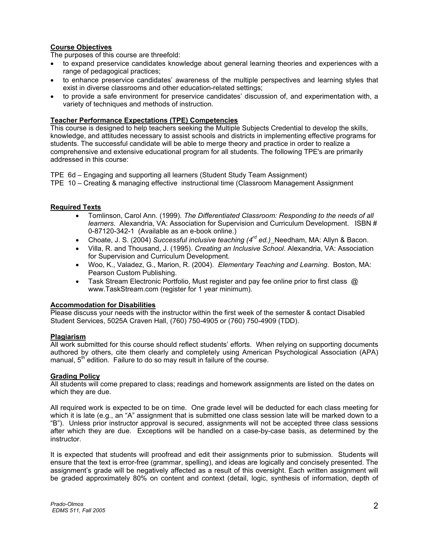# **Course Objectives**

The purposes of this course are threefold:

- to expand preservice candidates knowledge about general learning theories and experiences with a range of pedagogical practices;
- to enhance preservice candidates' awareness of the multiple perspectives and learning styles that exist in diverse classrooms and other education-related settings;
- to provide a safe environment for preservice candidates' discussion of, and experimentation with, a variety of techniques and methods of instruction.

# **Teacher Performance Expectations (TPE) Competencies**

This course is designed to help teachers seeking the Multiple Subjects Credential to develop the skills, knowledge, and attitudes necessary to assist schools and districts in implementing effective programs for students. The successful candidate will be able to merge theory and practice in order to realize a comprehensive and extensive educational program for all students. The following TPE's are primarily addressed in this course:

TPE 6d – Engaging and supporting all learners (Student Study Team Assignment)

TPE 10 – Creating & managing effective instructional time (Classroom Management Assignment

# **Required Texts**

- Tomlinson, Carol Ann. (1999). *The Differentiated Classroom: Responding to the needs of all learners*. Alexandria, VA: Association for Supervision and Curriculum Development. ISBN # 0-87120-342-1 (Available as an e-book online.)
- Choate, J. S. (2004) *Successful inclusive teaching (4rd ed.)* Needham, MA: Allyn & Bacon.
- Villa, R. and Thousand, J. (1995). *Creating an Inclusive School*. Alexandria, VA: Association for Supervision and Curriculum Development.
- Woo, K., Valadez, G., Marion, R. (2004). *Elementary Teaching and Learning*. Boston, MA: Pearson Custom Publishing.
- Task Stream Electronic Portfolio, Must register and pay fee online prior to first class @ www.TaskStream.com (register for 1 year minimum).

### **Accommodation for Disabilities**

Please discuss your needs with the instructor within the first week of the semester & contact Disabled Student Services, 5025A Craven Hall, (760) 750-4905 or (760) 750-4909 (TDD).

### **Plagiarism**

All work submitted for this course should reflect students' efforts. When relying on supporting documents authored by others, cite them clearly and completely using American Psychological Association (APA) manual, 5<sup>th</sup> edition. Failure to do so may result in failure of the course.

### **Grading Policy**

All students will come prepared to class; readings and homework assignments are listed on the dates on which they are due.

All required work is expected to be on time. One grade level will be deducted for each class meeting for which it is late (e.g., an "A" assignment that is submitted one class session late will be marked down to a "B"). Unless prior instructor approval is secured, assignments will not be accepted three class sessions after which they are due. Exceptions will be handled on a case-by-case basis, as determined by the instructor.

It is expected that students will proofread and edit their assignments prior to submission. Students will ensure that the text is error-free (grammar, spelling), and ideas are logically and concisely presented. The assignment's grade will be negatively affected as a result of this oversight. Each written assignment will be graded approximately 80% on content and context (detail, logic, synthesis of information, depth of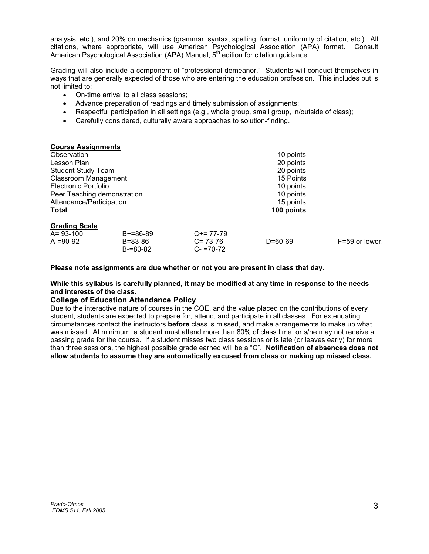analysis, etc.), and 20% on mechanics (grammar, syntax, spelling, format, uniformity of citation, etc.). All citations, where appropriate, will use American Psychological Association (APA) format. Consult American Psychological Association (APA) Manual, 5<sup>th</sup> edition for citation guidance.

Grading will also include a component of "professional demeanor." Students will conduct themselves in ways that are generally expected of those who are entering the education profession. This includes but is not limited to:

- On-time arrival to all class sessions;
- Advance preparation of readings and timely submission of assignments;
- Respectful participation in all settings (e.g., whole group, small group, in/outside of class);
- Carefully considered, culturally aware approaches to solution-finding.

| <b>Course Assignments</b>   |               |               |               |                    |
|-----------------------------|---------------|---------------|---------------|--------------------|
| Observation                 |               |               | 10 points     |                    |
| Lesson Plan                 |               |               | 20 points     |                    |
| <b>Student Study Team</b>   |               |               | 20 points     |                    |
| Classroom Management        |               |               | 15 Points     |                    |
| <b>Electronic Portfolio</b> |               |               | 10 points     |                    |
| Peer Teaching demonstration |               |               | 10 points     |                    |
| Attendance/Participation    |               |               | 15 points     |                    |
| <b>Total</b>                |               |               | 100 points    |                    |
| <b>Grading Scale</b>        |               |               |               |                    |
| $A = 93 - 100$              | $B+=86-89$    | $C+= 77-79$   |               |                    |
| $A = 90 - 92$               | B=83-86       | $C = 73-76$   | $D = 60 - 69$ | $F = 59$ or lower. |
|                             | $B = 80 - 82$ | $C - 70 - 72$ |               |                    |

**Please note assignments are due whether or not you are present in class that day.** 

# **While this syllabus is carefully planned, it may be modified at any time in response to the needs and interests of the class.**

### **College of Education Attendance Policy**

Due to the interactive nature of courses in the COE, and the value placed on the contributions of every student, students are expected to prepare for, attend, and participate in all classes. For extenuating circumstances contact the instructors **before** class is missed, and make arrangements to make up what was missed. At minimum, a student must attend more than 80% of class time, or s/he may not receive a passing grade for the course. If a student misses two class sessions or is late (or leaves early) for more than three sessions, the highest possible grade earned will be a "C". **Notification of absences does not allow students to assume they are automatically excused from class or making up missed class.**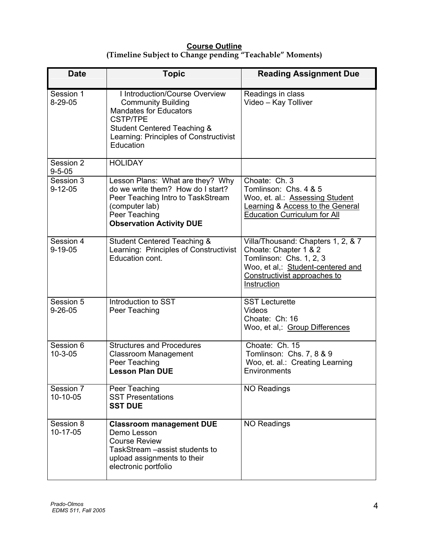# **Course Outline (Timeline Subject to Change pending "Teachable" Moments)**

| <b>Date</b>                | <b>Topic</b>                                                                                                                                                                                                     | <b>Reading Assignment Due</b>                                                                                                                                              |
|----------------------------|------------------------------------------------------------------------------------------------------------------------------------------------------------------------------------------------------------------|----------------------------------------------------------------------------------------------------------------------------------------------------------------------------|
| Session 1<br>$8-29-05$     | I Introduction/Course Overview<br><b>Community Building</b><br><b>Mandates for Educators</b><br><b>CSTP/TPE</b><br><b>Student Centered Teaching &amp;</b><br>Learning: Principles of Constructivist<br>Education | Readings in class<br>Video - Kay Tolliver                                                                                                                                  |
| Session 2<br>$9 - 5 - 05$  | <b>HOLIDAY</b>                                                                                                                                                                                                   |                                                                                                                                                                            |
| Session 3<br>$9 - 12 - 05$ | Lesson Plans: What are they? Why<br>do we write them? How do I start?<br>Peer Teaching Intro to TaskStream<br>(computer lab)<br>Peer Teaching<br><b>Observation Activity DUE</b>                                 | Choate: Ch. 3<br>Tomlinson: Chs. 4 & 5<br>Woo, et. al.: Assessing Student<br>Learning & Access to the General<br><b>Education Curriculum for All</b>                       |
| Session 4<br>$9 - 19 - 05$ | <b>Student Centered Teaching &amp;</b><br>Learning: Principles of Constructivist<br>Education cont.                                                                                                              | Villa/Thousand: Chapters 1, 2, & 7<br>Choate: Chapter 1 & 2<br>Tomlinson: Chs. 1, 2, 3<br>Woo, et al,: Student-centered and<br>Constructivist approaches to<br>Instruction |
| Session 5<br>$9 - 26 - 05$ | Introduction to SST<br>Peer Teaching                                                                                                                                                                             | <b>SST Lecturette</b><br>Videos<br>Choate: Ch: 16<br>Woo, et al,: Group Differences                                                                                        |
| Session 6<br>$10 - 3 - 05$ | <b>Structures and Procedures</b><br><b>Classroom Management</b><br>Peer Teaching<br><b>Lesson Plan DUE</b>                                                                                                       | Choate: Ch. 15<br>Tomlinson: Chs. 7, 8 & 9<br>Woo, et. al.: Creating Learning<br>Environments                                                                              |
| Session 7<br>10-10-05      | Peer Teaching<br><b>SST Presentations</b><br><b>SST DUE</b>                                                                                                                                                      | <b>NO Readings</b>                                                                                                                                                         |
| Session 8<br>10-17-05      | <b>Classroom management DUE</b><br>Demo Lesson<br><b>Course Review</b><br>TaskStream - assist students to<br>upload assignments to their<br>electronic portfolio                                                 | <b>NO Readings</b>                                                                                                                                                         |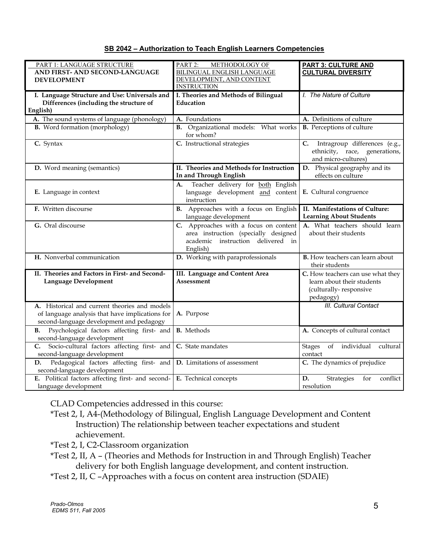| SB 2042 - Authorization to Teach English Learners Competencies |  |  |
|----------------------------------------------------------------|--|--|
|                                                                |  |  |

| PART 1: LANGUAGE STRUCTURE                        | PART 2:<br>METHODOLOGY OF                   | <b>PART 3: CULTURE AND</b>                    |
|---------------------------------------------------|---------------------------------------------|-----------------------------------------------|
| AND FIRST- AND SECOND-LANGUAGE                    | <b>BILINGUAL ENGLISH LANGUAGE</b>           | <b>CULTURAL DIVERSITY</b>                     |
| <b>DEVELOPMENT</b>                                | DEVELOPMENT, AND CONTENT                    |                                               |
|                                                   | <b>INSTRUCTION</b>                          |                                               |
| I. Language Structure and Use: Universals and     | I. Theories and Methods of Bilingual        | I. The Nature of Culture                      |
| Differences (including the structure of           | Education                                   |                                               |
| English)                                          |                                             |                                               |
| A. The sound systems of language (phonology)      | A. Foundations                              | A. Definitions of culture                     |
| <b>B.</b> Word formation (morphology)             | <b>B.</b> Organizational models: What works | <b>B.</b> Perceptions of culture              |
|                                                   | for whom?                                   |                                               |
| C. Syntax                                         | C. Instructional strategies                 | Intragroup differences (e.g.,<br>C.           |
|                                                   |                                             | ethnicity, race, generations,                 |
|                                                   |                                             | and micro-cultures)                           |
| D. Word meaning (semantics)                       | II. Theories and Methods for Instruction    | D. Physical geography and its                 |
|                                                   | In and Through English                      | effects on culture                            |
|                                                   | Teacher delivery for both English<br>A.     |                                               |
| E. Language in context                            | language development and content            | E. Cultural congruence                        |
|                                                   | instruction                                 |                                               |
| F. Written discourse                              | B. Approaches with a focus on English       | II. Manifestations of Culture:                |
|                                                   | language development                        | <b>Learning About Students</b>                |
| G. Oral discourse                                 | C. Approaches with a focus on content       | A. What teachers should learn                 |
|                                                   | area instruction (specially designed        | about their students                          |
|                                                   | academic instruction delivered in           |                                               |
|                                                   | English)                                    |                                               |
| H. Nonverbal communication                        | D. Working with paraprofessionals           | <b>B.</b> How teachers can learn about        |
|                                                   |                                             | their students                                |
| II. Theories and Factors in First- and Second-    | III. Language and Content Area              | C. How teachers can use what they             |
| Language Development                              | Assessment                                  | learn about their students                    |
|                                                   |                                             | (culturally-responsive                        |
|                                                   |                                             | pedagogy)                                     |
| A. Historical and current theories and models     |                                             | <b>III.</b> Cultural Contact                  |
| of language analysis that have implications for   | A. Purpose                                  |                                               |
| second-language development and pedagogy          |                                             |                                               |
| Psychological factors affecting first- and<br>В.  | <b>B.</b> Methods                           | A. Concepts of cultural contact               |
| second-language development                       |                                             |                                               |
| Socio-cultural factors affecting first- and<br>C. | C. State mandates                           | individual<br>of<br>cultural<br><b>Stages</b> |
| second-language development                       |                                             | contact                                       |
| Pedagogical factors affecting first- and<br>D.    | $\overline{D}$ . Limitations of assessment  | C. The dynamics of prejudice                  |
| second-language development                       |                                             |                                               |
| E. Political factors affecting first- and second- | E. Technical concepts                       | conflict<br>D.<br>Strategies<br>for           |
| language development                              |                                             | resolution                                    |

CLAD Competencies addressed in this course:

- \*Test 2, I, A4-(Methodology of Bilingual, English Language Development and Content Instruction) The relationship between teacher expectations and student achievement.
- \*Test 2, I, C2-Classroom organization
- \*Test 2, II, A (Theories and Methods for Instruction in and Through English) Teacher delivery for both English language development, and content instruction.
- \*Test 2, II, C –Approaches with a focus on content area instruction (SDAIE)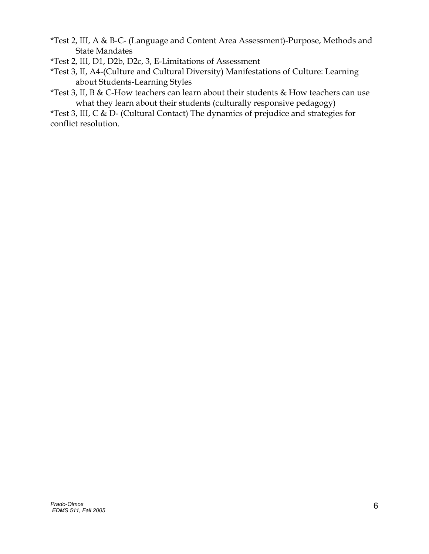- \*Test 2, III, A & B-C- (Language and Content Area Assessment)-Purpose, Methods and State Mandates
- \*Test 2, III, D1, D2b, D2c, 3, E-Limitations of Assessment
- \*Test 3, II, A4-(Culture and Cultural Diversity) Manifestations of Culture: Learning about Students-Learning Styles
- \*Test 3, II, B & C-How teachers can learn about their students & How teachers can use what they learn about their students (culturally responsive pedagogy)

\*Test 3, III, C & D- (Cultural Contact) The dynamics of prejudice and strategies for conflict resolution.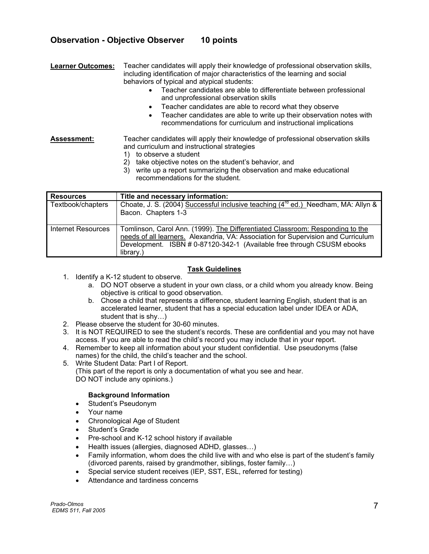# **Observation - Objective Observer 10 points**

**Learner Outcomes:** Teacher candidates will apply their knowledge of professional observation skills, including identification of major characteristics of the learning and social behaviors of typical and atypical students:

- Teacher candidates are able to differentiate between professional and unprofessional observation skills
- Teacher candidates are able to record what they observe
- Teacher candidates are able to write up their observation notes with recommendations for curriculum and instructional implications

**Assessment:** Teacher candidates will apply their knowledge of professional observation skills and curriculum and instructional strategies

- 1) to observe a student
- 2) take objective notes on the student's behavior, and
- 3) write up a report summarizing the observation and make educational recommendations for the student.

| <b>Resources</b>          | Title and necessary information:                                                                                                                                                                                                                          |
|---------------------------|-----------------------------------------------------------------------------------------------------------------------------------------------------------------------------------------------------------------------------------------------------------|
| Textbook/chapters         | Choate, J. S. (2004) Successful inclusive teaching (4 <sup>rd</sup> ed.) Needham, MA: Allyn &<br>Bacon. Chapters 1-3                                                                                                                                      |
| <b>Internet Resources</b> | Tomlinson, Carol Ann. (1999). The Differentiated Classroom: Responding to the<br>needs of all learners. Alexandria, VA: Association for Supervision and Curriculum<br>Development. ISBN # 0-87120-342-1 (Available free through CSUSM ebooks<br>library.) |

# **Task Guidelines**

- 1. Identify a K-12 student to observe.
	- a. DO NOT observe a student in your own class, or a child whom you already know. Being objective is critical to good observation.
	- b. Chose a child that represents a difference, student learning English, student that is an accelerated learner, student that has a special education label under IDEA or ADA, student that is shy…)
- 2. Please observe the student for 30-60 minutes.
- 3. It is NOT REQUIRED to see the student's records. These are confidential and you may not have access. If you are able to read the child's record you may include that in your report.
- 4. Remember to keep all information about your student confidential. Use pseudonyms (false names) for the child, the child's teacher and the school.
- 5. Write Student Data: Part I of Report.

(This part of the report is only a documentation of what you see and hear. DO NOT include any opinions.)

# **Background Information**

- Student's Pseudonym
- Your name
- Chronological Age of Student
- Student's Grade
- Pre-school and K-12 school history if available
- Health issues (allergies, diagnosed ADHD, glasses…)
- Family information, whom does the child live with and who else is part of the student's family (divorced parents, raised by grandmother, siblings, foster family…)
- Special service student receives (IEP, SST, ESL, referred for testing)
- Attendance and tardiness concerns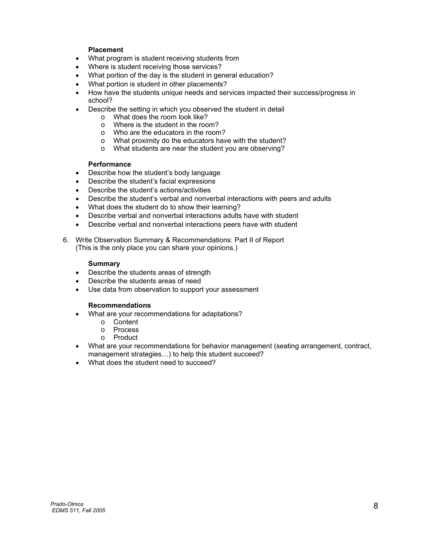# **Placement**

- What program is student receiving students from
- Where is student receiving those services?
- What portion of the day is the student in general education?
- What portion is student in other placements?
- How have the students unique needs and services impacted their success/progress in school?
- Describe the setting in which you observed the student in detail
	- o What does the room look like?
	- o Where is the student in the room?
	- o Who are the educators in the room?
	- o What proximity do the educators have with the student?
	- o What students are near the student you are observing?

### **Performance**

- Describe how the student's body language
- Describe the student's facial expressions
- Describe the student's actions/activities
- Describe the student's verbal and nonverbal interactions with peers and adults
- What does the student do to show their learning?
- Describe verbal and nonverbal interactions adults have with student
- Describe verbal and nonverbal interactions peers have with student
- 6. Write Observation Summary & Recommendations: Part II of Report (This is the only place you can share your opinions.)

# **Summary**

- Describe the students areas of strength
- Describe the students areas of need
- Use data from observation to support your assessment

# **Recommendations**

- What are your recommendations for adaptations?
	- o Content
	- o Process
	- o Product
- What are your recommendations for behavior management (seating arrangement, contract, management strategies…) to help this student succeed?
- What does the student need to succeed?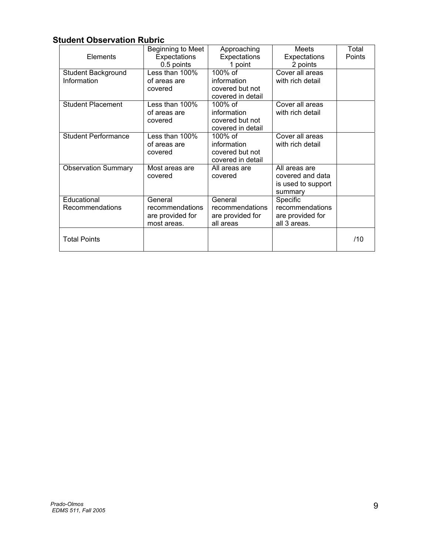# **Student Observation Rubric**

| Elements                          | Beginning to Meet<br>Expectations<br>0.5 points               | Approaching<br>Expectations<br>1 point                          | <b>Meets</b><br>Expectations<br>2 points                           | Total<br>Points |
|-----------------------------------|---------------------------------------------------------------|-----------------------------------------------------------------|--------------------------------------------------------------------|-----------------|
| Student Background<br>Information | Less than 100%<br>of areas are<br>covered                     | 100% of<br>information<br>covered but not<br>covered in detail  | Cover all areas<br>with rich detail                                |                 |
| <b>Student Placement</b>          | Less than 100%<br>of areas are<br>covered                     | 100% of<br>information<br>covered but not<br>covered in detail  | Cover all areas<br>with rich detail                                |                 |
| <b>Student Performance</b>        | Less than 100%<br>of areas are<br>covered                     | 100\% of<br>information<br>covered but not<br>covered in detail | Cover all areas<br>with rich detail                                |                 |
| <b>Observation Summary</b>        | Most areas are<br>covered                                     | All areas are<br>covered                                        | All areas are<br>covered and data<br>is used to support<br>summary |                 |
| Educational<br>Recommendations    | General<br>recommendations<br>are provided for<br>most areas. | General<br>recommendations<br>are provided for<br>all areas     | Specific<br>recommendations<br>are provided for<br>all 3 areas.    |                 |
| <b>Total Points</b>               |                                                               |                                                                 |                                                                    | /10             |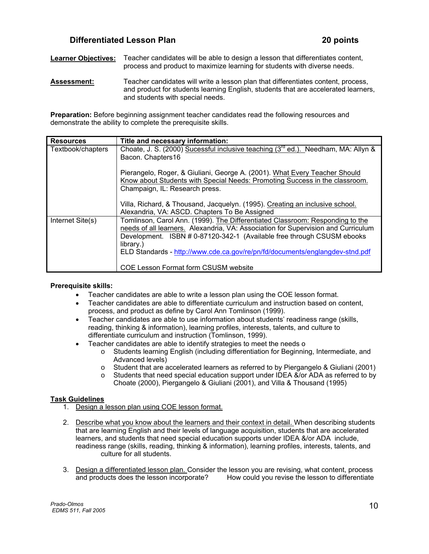# **Differentiated Lesson Plan 20 points**

**Learner Objectives:** Teacher candidates will be able to design a lesson that differentiates content, process and product to maximize learning for students with diverse needs.

**Assessment:** Teacher candidates will write a lesson plan that differentiates content, process, and product for students learning English, students that are accelerated learners, and students with special needs.

**Preparation:** Before beginning assignment teacher candidates read the following resources and demonstrate the ability to complete the prerequisite skills.

| <b>Resources</b>  | Title and necessary information:                                                       |
|-------------------|----------------------------------------------------------------------------------------|
| Textbook/chapters | Choate, J. S. (2000) Sucessful inclusive teaching $(3^{rd}$ ed.). Needham, MA: Allyn & |
|                   | Bacon. Chapters16                                                                      |
|                   | Pierangelo, Roger, & Giuliani, George A. (2001). What Every Teacher Should             |
|                   | Know about Students with Special Needs: Promoting Success in the classroom.            |
|                   | Champaign, IL: Research press.                                                         |
|                   | Villa, Richard, & Thousand, Jacquelyn. (1995). Creating an inclusive school.           |
|                   | Alexandria, VA: ASCD. Chapters To Be Assigned                                          |
| Internet Site(s)  | Tomlinson, Carol Ann. (1999). The Differentiated Classroom: Responding to the          |
|                   | needs of all learners. Alexandria, VA: Association for Supervision and Curriculum      |
|                   | Development. ISBN # 0-87120-342-1 (Available free through CSUSM ebooks<br>library.)    |
|                   | ELD Standards - http://www.cde.ca.gov/re/pn/fd/documents/englangdev-stnd.pdf           |
|                   |                                                                                        |
|                   | <b>COE Lesson Format form CSUSM website</b>                                            |

### **Prerequisite skills:**

- Teacher candidates are able to write a lesson plan using the COE lesson format.
- Teacher candidates are able to differentiate curriculum and instruction based on content, process, and product as define by Carol Ann Tomlinson (1999).
- Teacher candidates are able to use information about students' readiness range (skills, reading, thinking & information), learning profiles, interests, talents, and culture to differentiate curriculum and instruction (Tomlinson, 1999).
- Teacher candidates are able to identify strategies to meet the needs o
	- o Students learning English (including differentiation for Beginning, Intermediate, and Advanced levels)
	- o Student that are accelerated learners as referred to by Piergangelo & Giuliani (2001)<br>
	Students that need special education support under IDEA &/or ADA as referred to by
	- Students that need special education support under IDEA &/or ADA as referred to by Choate (2000), Piergangelo & Giuliani (2001), and Villa & Thousand (1995)

# **Task Guidelines**

- 1. Design a lesson plan using COE lesson format.
- 2. Describe what you know about the learners and their context in detail. When describing students that are learning English and their levels of language acquisition, students that are accelerated learners, and students that need special education supports under IDEA &/or ADA include, readiness range (skills, reading, thinking & information), learning profiles, interests, talents, and culture for all students.
- 3. Design a differentiated lesson plan. Consider the lesson you are revising, what content, process and products does the lesson incorporate? How could you revise the lesson to differentiate How could you revise the lesson to differentiate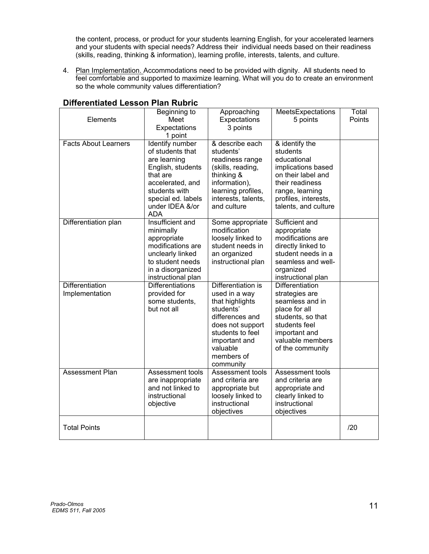the content, process, or product for your students learning English, for your accelerated learners and your students with special needs? Address their individual needs based on their readiness (skills, reading, thinking & information), learning profile, interests, talents, and culture.

4. Plan Implementation. Accommodations need to be provided with dignity. All students need to feel comfortable and supported to maximize learning. What will you do to create an environment so the whole community values differentiation?

| Elements                          | Beginning to<br>Meet<br>Expectations<br>1 point                                                                                                                                  | Approaching<br>Expectations<br>3 points                                                                                                                                                | MeetsExpectations<br>5 points                                                                                                                                               | Total<br>Points |
|-----------------------------------|----------------------------------------------------------------------------------------------------------------------------------------------------------------------------------|----------------------------------------------------------------------------------------------------------------------------------------------------------------------------------------|-----------------------------------------------------------------------------------------------------------------------------------------------------------------------------|-----------------|
| <b>Facts About Learners</b>       | <b>Identify number</b><br>of students that<br>are learning<br>English, students<br>that are<br>accelerated, and<br>students with<br>special ed. labels<br>under IDEA &/or<br>ADA | & describe each<br>students'<br>readiness range<br>(skills, reading,<br>thinking &<br>information),<br>learning profiles,<br>interests, talents,<br>and culture                        | & identify the<br>students<br>educational<br>implications based<br>on their label and<br>their readiness<br>range, learning<br>profiles, interests,<br>talents, and culture |                 |
| Differentiation plan              | Insufficient and<br>minimally<br>appropriate<br>modifications are<br>unclearly linked<br>to student needs<br>in a disorganized<br>instructional plan                             | Some appropriate<br>modification<br>loosely linked to<br>student needs in<br>an organized<br>instructional plan                                                                        | Sufficient and<br>appropriate<br>modifications are<br>directly linked to<br>student needs in a<br>seamless and well-<br>organized<br>instructional plan                     |                 |
| Differentiation<br>Implementation | <b>Differentiations</b><br>provided for<br>some students,<br>but not all                                                                                                         | Differentiation is<br>used in a way<br>that highlights<br>students'<br>differences and<br>does not support<br>students to feel<br>important and<br>valuable<br>members of<br>community | <b>Differentiation</b><br>strategies are<br>seamless and in<br>place for all<br>students, so that<br>students feel<br>important and<br>valuable members<br>of the community |                 |
| <b>Assessment Plan</b>            | Assessment tools<br>are inappropriate<br>and not linked to<br>instructional<br>objective                                                                                         | Assessment tools<br>and criteria are<br>appropriate but<br>loosely linked to<br>instructional<br>objectives                                                                            | Assessment tools<br>and criteria are<br>appropriate and<br>clearly linked to<br>instructional<br>objectives                                                                 |                 |
| <b>Total Points</b>               |                                                                                                                                                                                  |                                                                                                                                                                                        |                                                                                                                                                                             | /20             |

# **Differentiated Lesson Plan Rubric**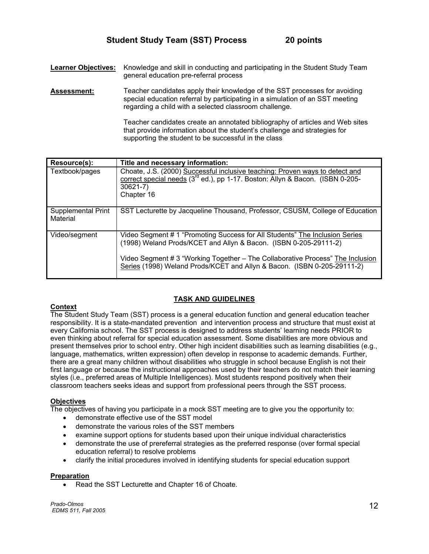**Learner Objectives:** Knowledge and skill in conducting and participating in the Student Study Team general education pre-referral process

**Assessment:** Teacher candidates apply their knowledge of the SST processes for avoiding special education referral by participating in a simulation of an SST meeting regarding a child with a selected classroom challenge.

> Teacher candidates create an annotated bibliography of articles and Web sites that provide information about the student's challenge and strategies for supporting the student to be successful in the class

| Resource(s):                   | Title and necessary information:                                                                                                                                                                                                                                                                             |
|--------------------------------|--------------------------------------------------------------------------------------------------------------------------------------------------------------------------------------------------------------------------------------------------------------------------------------------------------------|
| Textbook/pages                 | Choate, J.S. (2000) Successful inclusive teaching: Proven ways to detect and<br>correct special needs (3 <sup>rd</sup> ed.), pp 1-17. Boston: Allyn & Bacon. (ISBN 0-205-<br>$30621 - 7$<br>Chapter 16                                                                                                       |
| Supplemental Print<br>Material | SST Lecturette by Jacqueline Thousand, Professor, CSUSM, College of Education                                                                                                                                                                                                                                |
| Video/segment                  | Video Segment # 1 "Promoting Success for All Students" The Inclusion Series<br>(1998) Weland Prods/KCET and Allyn & Bacon. (ISBN 0-205-29111-2)<br>Video Segment # 3 "Working Together – The Collaborative Process" The Inclusion<br>Series (1998) Weland Prods/KCET and Allyn & Bacon. (ISBN 0-205-29111-2) |

# **TASK AND GUIDELINES**

### **Context**

The Student Study Team (SST) process is a general education function and general education teacher responsibility. It is a state-mandated prevention and intervention process and structure that must exist at every California school. The SST process is designed to address students' learning needs PRIOR to even thinking about referral for special education assessment. Some disabilities are more obvious and present themselves prior to school entry. Other high incident disabilities such as learning disabilities (e.g., language, mathematics, written expression) often develop in response to academic demands. Further, there are a great many children without disabilities who struggle in school because English is not their first language or because the instructional approaches used by their teachers do not match their learning styles (i.e., preferred areas of Multiple Intelligences). Most students respond positively when their classroom teachers seeks ideas and support from professional peers through the SST process.

### **Objectives**

The objectives of having you participate in a mock SST meeting are to give you the opportunity to:

- demonstrate effective use of the SST model
- demonstrate the various roles of the SST members
- examine support options for students based upon their unique individual characteristics
- demonstrate the use of prereferral strategies as the preferred response (over formal special education referral) to resolve problems
- clarify the initial procedures involved in identifying students for special education support

### **Preparation**

Read the SST Lecturette and Chapter 16 of Choate.

*Prado-Olmos EDMS 511, Fall 2005* <sup>12</sup>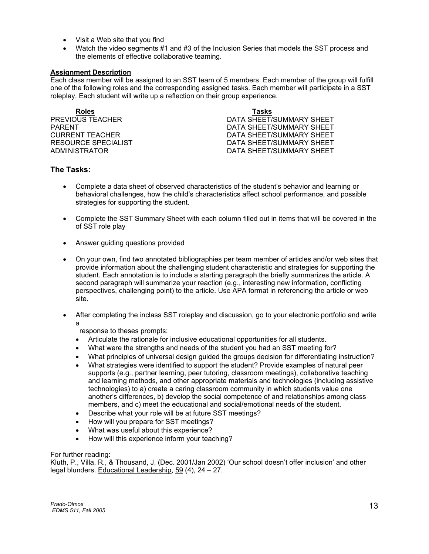- Visit a Web site that you find
- Watch the video segments #1 and #3 of the Inclusion Series that models the SST process and the elements of effective collaborative teaming.

### **Assignment Description**

Each class member will be assigned to an SST team of 5 members. Each member of the group will fulfill one of the following roles and the corresponding assigned tasks. Each member will participate in a SST roleplay. Each student will write up a reflection on their group experience.

**Roles Tasks**

**PREVIOUS TEACHER CONTROLLER CONTROLLER BUT A DATA SHEET/SUMMARY SHEET** PARENT PARENT DATA SHEET/SUMMARY SHEET CURRENT TEACHER **EXECUTE:** THE DATA SHEET/SUMMARY SHEET RESOURCE SPECIALIST DATA SHEET/SUMMARY SHEET DATA SHEET/SUMMARY SHEET

# **The Tasks:**

- Complete a data sheet of observed characteristics of the student's behavior and learning or behavioral challenges, how the child's characteristics affect school performance, and possible strategies for supporting the student.
- Complete the SST Summary Sheet with each column filled out in items that will be covered in the of SST role play
- Answer guiding questions provided
- On your own, find two annotated bibliographies per team member of articles and/or web sites that provide information about the challenging student characteristic and strategies for supporting the student. Each annotation is to include a starting paragraph the briefly summarizes the article. A second paragraph will summarize your reaction (e.g., interesting new information, conflicting perspectives, challenging point) to the article. Use APA format in referencing the article or web site.
- After completing the inclass SST roleplay and discussion, go to your electronic portfolio and write a

response to theses prompts:

- Articulate the rationale for inclusive educational opportunities for all students.
- What were the strengths and needs of the student you had an SST meeting for?
- What principles of universal design guided the groups decision for differentiating instruction?
- What strategies were identified to support the student? Provide examples of natural peer supports (e.g., partner learning, peer tutoring, classroom meetings), collaborative teaching and learning methods, and other appropriate materials and technologies (including assistive technologies) to a) create a caring classroom community in which students value one another's differences, b) develop the social competence of and relationships among class members, and c) meet the educational and social/emotional needs of the student.
- Describe what your role will be at future SST meetings?
- How will you prepare for SST meetings?
- What was useful about this experience?
- How will this experience inform your teaching?

### For further reading:

Kluth, P., Villa, R., & Thousand, J. (Dec. 2001/Jan 2002) 'Our school doesn't offer inclusion' and other legal blunders. Educational Leadership, 59 (4), 24 – 27.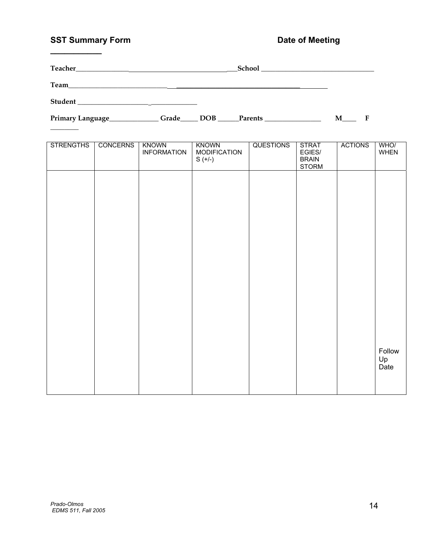# **SST Summary Form Community Community Form Community Party Date of Meeting**

**\_\_\_\_\_\_\_\_\_\_\_** 

|                  |                 |                                    | Primary Language <b>Example 2018</b> Crade <b>Example 2018 Example 2018 Example 2018 Example 2018 Example 2018 Example 2018 Example 2018 Example 2018 Example 2028 Example 2028 Example 2028 Example 2028 Exa</b> |                  |                                                        | $M$ <sub>___</sub> F |                      |
|------------------|-----------------|------------------------------------|-------------------------------------------------------------------------------------------------------------------------------------------------------------------------------------------------------------------|------------------|--------------------------------------------------------|----------------------|----------------------|
|                  |                 |                                    |                                                                                                                                                                                                                   |                  |                                                        |                      |                      |
| <b>STRENGTHS</b> | <b>CONCERNS</b> | <b>KNOWN</b><br><b>INFORMATION</b> | <b>KNOWN</b><br><b>MODIFICATION</b><br>$S (+/-)$                                                                                                                                                                  | <b>QUESTIONS</b> | <b>STRAT</b><br>EGIES/<br><b>BRAIN</b><br><b>STORM</b> | <b>ACTIONS</b>       | WHO/<br><b>WHEN</b>  |
|                  |                 |                                    |                                                                                                                                                                                                                   |                  |                                                        |                      |                      |
|                  |                 |                                    |                                                                                                                                                                                                                   |                  |                                                        |                      |                      |
|                  |                 |                                    |                                                                                                                                                                                                                   |                  |                                                        |                      |                      |
|                  |                 |                                    |                                                                                                                                                                                                                   |                  |                                                        |                      |                      |
|                  |                 |                                    |                                                                                                                                                                                                                   |                  |                                                        |                      |                      |
|                  |                 |                                    |                                                                                                                                                                                                                   |                  |                                                        |                      |                      |
|                  |                 |                                    |                                                                                                                                                                                                                   |                  |                                                        |                      |                      |
|                  |                 |                                    |                                                                                                                                                                                                                   |                  |                                                        |                      |                      |
|                  |                 |                                    |                                                                                                                                                                                                                   |                  |                                                        |                      | Follow<br>Up<br>Date |
|                  |                 |                                    |                                                                                                                                                                                                                   |                  |                                                        |                      |                      |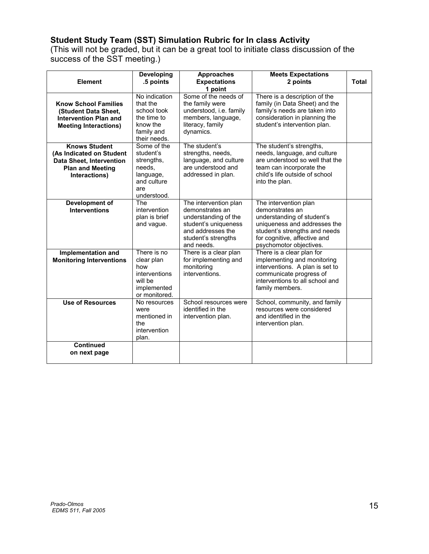# **Student Study Team (SST) Simulation Rubric for In class Activity**

(This will not be graded, but it can be a great tool to initiate class discussion of the success of the SST meeting.)

| Element                                                                                                                         | <b>Developing</b><br>.5 points                                                                     | <b>Approaches</b><br><b>Expectations</b><br>1 point                                                                                                | <b>Meets Expectations</b><br>2 points                                                                                                                                                              | Total |
|---------------------------------------------------------------------------------------------------------------------------------|----------------------------------------------------------------------------------------------------|----------------------------------------------------------------------------------------------------------------------------------------------------|----------------------------------------------------------------------------------------------------------------------------------------------------------------------------------------------------|-------|
| <b>Know School Families</b><br>(Student Data Sheet,<br><b>Intervention Plan and</b><br><b>Meeting Interactions)</b>             | No indication<br>that the<br>school took<br>the time to<br>know the<br>family and<br>their needs.  | Some of the needs of<br>the family were<br>understood, i.e. family<br>members, language,<br>literacy, family<br>dynamics.                          | There is a description of the<br>family (in Data Sheet) and the<br>family's needs are taken into<br>consideration in planning the<br>student's intervention plan.                                  |       |
| <b>Knows Student</b><br>(As Indicated on Student<br><b>Data Sheet, Intervention</b><br><b>Plan and Meeting</b><br>Interactions) | Some of the<br>student's<br>strengths,<br>needs,<br>language,<br>and culture<br>are<br>understood. | The student's<br>strengths, needs,<br>language, and culture<br>are understood and<br>addressed in plan.                                            | The student's strengths,<br>needs, language, and culture<br>are understood so well that the<br>team can incorporate the<br>child's life outside of school<br>into the plan.                        |       |
| Development of<br><b>Interventions</b>                                                                                          | The<br>intervention<br>plan is brief<br>and vague.                                                 | The intervention plan<br>demonstrates an<br>understanding of the<br>student's uniqueness<br>and addresses the<br>student's strengths<br>and needs. | The intervention plan<br>demonstrates an<br>understanding of student's<br>uniqueness and addresses the<br>student's strengths and needs<br>for cognitive, affective and<br>psychomotor objectives. |       |
| Implementation and<br><b>Monitoring Interventions</b>                                                                           | There is no<br>clear plan<br>how<br>interventions<br>will be<br>implemented<br>or monitored.       | There is a clear plan<br>for implementing and<br>monitoring<br>interventions.                                                                      | There is a clear plan for<br>implementing and monitoring<br>interventions. A plan is set to<br>communicate progress of<br>interventions to all school and<br>family members.                       |       |
| <b>Use of Resources</b>                                                                                                         | No resources<br>were<br>mentioned in<br>the<br>intervention<br>plan.                               | School resources were<br>identified in the<br>intervention plan.                                                                                   | School, community, and family<br>resources were considered<br>and identified in the<br>intervention plan.                                                                                          |       |
| <b>Continued</b><br>on next page                                                                                                |                                                                                                    |                                                                                                                                                    |                                                                                                                                                                                                    |       |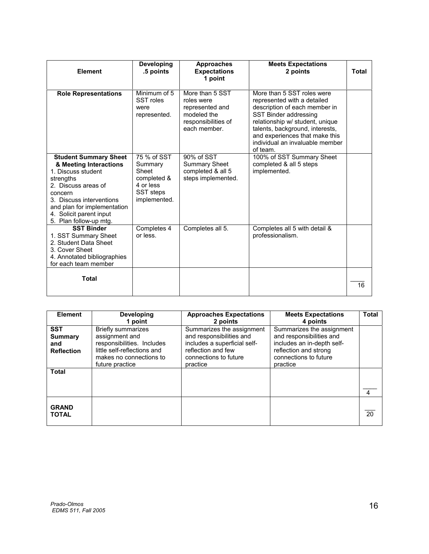| Element                                                                                                                                                                                                                                     | <b>Developing</b><br>.5 points                                                           | <b>Approaches</b><br><b>Expectations</b><br>1 point                                                    | <b>Meets Expectations</b><br>2 points                                                                                                                                                                                                                                      | <b>Total</b> |
|---------------------------------------------------------------------------------------------------------------------------------------------------------------------------------------------------------------------------------------------|------------------------------------------------------------------------------------------|--------------------------------------------------------------------------------------------------------|----------------------------------------------------------------------------------------------------------------------------------------------------------------------------------------------------------------------------------------------------------------------------|--------------|
| <b>Role Representations</b>                                                                                                                                                                                                                 | Minimum of 5<br>SST roles<br>were<br>represented.                                        | More than 5 SST<br>roles were<br>represented and<br>modeled the<br>responsibilities of<br>each member. | More than 5 SST roles were<br>represented with a detailed<br>description of each member in<br>SST Binder addressing<br>relationship w/ student, unique<br>talents, background, interests,<br>and experiences that make this<br>individual an invaluable member<br>of team. |              |
| <b>Student Summary Sheet</b><br>& Meeting Interactions<br>1. Discuss student<br>strengths<br>2. Discuss areas of<br>concern<br>3. Discuss interventions<br>and plan for implementation<br>4. Solicit parent input<br>5. Plan follow-up mtg. | 75 % of SST<br>Summary<br>Sheet<br>completed &<br>4 or less<br>SST steps<br>implemented. | 90% of SST<br><b>Summary Sheet</b><br>completed & all 5<br>steps implemented.                          | 100% of SST Summary Sheet<br>completed & all 5 steps<br>implemented.                                                                                                                                                                                                       |              |
| <b>SST Binder</b><br>1. SST Summary Sheet<br>2. Student Data Sheet<br>3. Cover Sheet<br>4. Annotated bibliographies<br>for each team member                                                                                                 | Completes 4<br>or less.                                                                  | Completes all 5.                                                                                       | Completes all 5 with detail &<br>professionalism.                                                                                                                                                                                                                          |              |
| <b>Total</b>                                                                                                                                                                                                                                |                                                                                          |                                                                                                        |                                                                                                                                                                                                                                                                            | 16           |

| <b>Element</b>                                           | <b>Developing</b>                                                                                                                                                 | <b>Approaches Expectations</b>                                                                                                                               | <b>Meets Expectations</b>                                                                                                                                     | <b>Total</b>   |
|----------------------------------------------------------|-------------------------------------------------------------------------------------------------------------------------------------------------------------------|--------------------------------------------------------------------------------------------------------------------------------------------------------------|---------------------------------------------------------------------------------------------------------------------------------------------------------------|----------------|
| <b>SST</b><br><b>Summary</b><br>and<br><b>Reflection</b> | 1 point<br><b>Briefly summarizes</b><br>assignment and<br>responsibilities. Includes<br>little self-reflections and<br>makes no connections to<br>future practice | 2 points<br>Summarizes the assignment<br>and responsibilities and<br>includes a superficial self-<br>reflection and few<br>connections to future<br>practice | 4 points<br>Summarizes the assignment<br>and responsibilities and<br>includes an in-depth self-<br>reflection and strong<br>connections to future<br>practice |                |
| <b>Total</b>                                             |                                                                                                                                                                   |                                                                                                                                                              |                                                                                                                                                               | $\overline{4}$ |
| <b>GRAND</b><br><b>TOTAL</b>                             |                                                                                                                                                                   |                                                                                                                                                              |                                                                                                                                                               | 20             |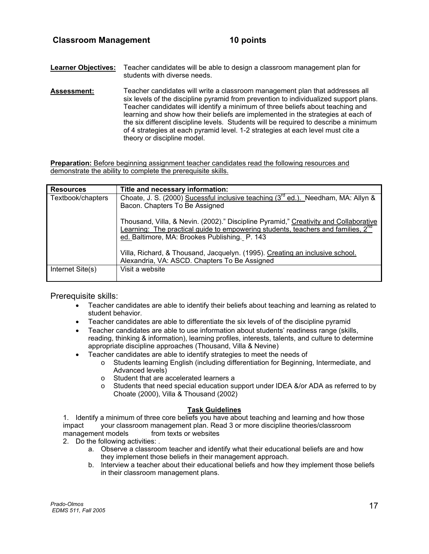**Learner Objectives:** Teacher candidates will be able to design a classroom management plan for students with diverse needs.

**Assessment:** Teacher candidates will write a classroom management plan that addresses all six levels of the discipline pyramid from prevention to individualized support plans. Teacher candidates will identify a minimum of three beliefs about teaching and learning and show how their beliefs are implemented in the strategies at each of the six different discipline levels. Students will be required to describe a minimum of 4 strategies at each pyramid level. 1-2 strategies at each level must cite a theory or discipline model.

**Preparation:** Before beginning assignment teacher candidates read the following resources and demonstrate the ability to complete the prerequisite skills.

| <b>Resources</b>  | Title and necessary information:                                                                                                                                                     |
|-------------------|--------------------------------------------------------------------------------------------------------------------------------------------------------------------------------------|
| Textbook/chapters | Choate, J. S. (2000) Sucessful inclusive teaching (3 <sup>rd</sup> ed.). Needham, MA: Allyn &                                                                                        |
|                   | Bacon. Chapters To Be Assigned                                                                                                                                                       |
|                   | Thousand, Villa, & Nevin. (2002)." Discipline Pyramid," Creativity and Collaborative<br>Learning: The practical guide to empowering students, teachers and families, 2 <sup>nd</sup> |
|                   | ed. Baltimore, MA: Brookes Publishing. P. 143                                                                                                                                        |
|                   | Villa, Richard, & Thousand, Jacquelyn. (1995). Creating an inclusive school.<br>Alexandria, VA: ASCD. Chapters To Be Assigned                                                        |
| Internet Site(s)  | Visit a website                                                                                                                                                                      |

Prerequisite skills:

- Teacher candidates are able to identify their beliefs about teaching and learning as related to student behavior.
- Teacher candidates are able to differentiate the six levels of of the discipline pyramid
- Teacher candidates are able to use information about students' readiness range (skills, reading, thinking & information), learning profiles, interests, talents, and culture to determine appropriate discipline approaches (Thousand, Villa & Nevine)
- Teacher candidates are able to identify strategies to meet the needs of
	- o Students learning English (including differentiation for Beginning, Intermediate, and Advanced levels)
	- o Student that are accelerated learners a
	- $\circ$  Students that need special education support under IDEA &/or ADA as referred to by Choate (2000), Villa & Thousand (2002)

### **Task Guidelines**

1. Identify a minimum of three core beliefs you have about teaching and learning and how those impact your classroom management plan. Read 3 or more discipline theories/classroom management models from texts or websites

2. Do the following activities: .

- a. Observe a classroom teacher and identify what their educational beliefs are and how they implement those beliefs in their management approach.
- b. Interview a teacher about their educational beliefs and how they implement those beliefs in their classroom management plans.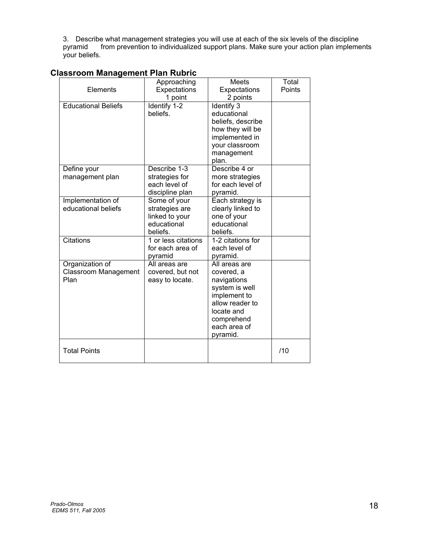3. Describe what management strategies you will use at each of the six levels of the discipline pyramid from prevention to individualized support plans. Make sure your action plan implements your beliefs.

| Elements                                               | Approaching<br>Expectations<br>1 point                                      | <b>Meets</b><br>Expectations<br>2 points                                                                                                                | Total<br>Points |
|--------------------------------------------------------|-----------------------------------------------------------------------------|---------------------------------------------------------------------------------------------------------------------------------------------------------|-----------------|
| <b>Educational Beliefs</b>                             | Identify 1-2<br>beliefs.                                                    | Identify 3<br>educational<br>beliefs, describe<br>how they will be<br>implemented in<br>your classroom<br>management<br>plan.                           |                 |
| Define your<br>management plan                         | Describe 1-3<br>strategies for<br>each level of<br>discipline plan          | Describe 4 or<br>more strategies<br>for each level of<br>pyramid.                                                                                       |                 |
| Implementation of<br>educational beliefs               | Some of your<br>strategies are<br>linked to your<br>educational<br>beliefs. | Each strategy is<br>clearly linked to<br>one of your<br>educational<br>beliefs.                                                                         |                 |
| <b>Citations</b>                                       | 1 or less citations<br>for each area of<br>pyramid                          | 1-2 citations for<br>each level of<br>pyramid.                                                                                                          |                 |
| Organization of<br><b>Classroom Management</b><br>Plan | All areas are<br>covered, but not<br>easy to locate.                        | All areas are<br>covered, a<br>navigations<br>system is well<br>implement to<br>allow reader to<br>locate and<br>comprehend<br>each area of<br>pyramid. |                 |
| <b>Total Points</b>                                    |                                                                             |                                                                                                                                                         | /10             |

# **Classroom Management Plan Rubric**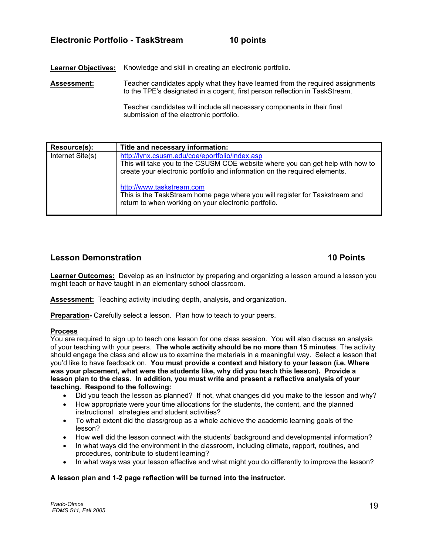# **Electronic Portfolio - TaskStream 10 points**

**Learner Objectives:** Knowledge and skill in creating an electronic portfolio.

Assessment: Teacher candidates apply what they have learned from the required assignments to the TPE's designated in a cogent, first person reflection in TaskStream.

> Teacher candidates will include all necessary components in their final submission of the electronic portfolio.

| Resource(s):     | Title and necessary information:                                                                                                                                                                               |
|------------------|----------------------------------------------------------------------------------------------------------------------------------------------------------------------------------------------------------------|
| Internet Site(s) | http://lynx.csusm.edu/coe/eportfolio/index.asp<br>This will take you to the CSUSM COE website where you can get help with how to<br>create your electronic portfolio and information on the required elements. |
|                  | http://www.taskstream.com<br>This is the TaskStream home page where you will register for Taskstream and<br>return to when working on your electronic portfolio.                                               |

# **Lesson Demonstration 10 Points**

**Learner Outcomes:** Develop as an instructor by preparing and organizing a lesson around a lesson you might teach or have taught in an elementary school classroom.

**Assessment:** Teaching activity including depth, analysis, and organization.

**Preparation-** Carefully select a lesson. Plan how to teach to your peers.

# **Process**

You are required to sign up to teach one lesson for one class session. You will also discuss an analysis of your teaching with your peers. **The whole activity should be no more than 15 minutes**. The activity should engage the class and allow us to examine the materials in a meaningful way. Select a lesson that you'd like to have feedback on. **You must provide a context and history to your lesson (i.e. Where was your placement, what were the students like, why did you teach this lesson). Provide a lesson plan to the class**. **In addition, you must write and present a reflective analysis of your teaching. Respond to the following:**

- Did you teach the lesson as planned? If not, what changes did you make to the lesson and why?
- How appropriate were your time allocations for the students, the content, and the planned instructional strategies and student activities?
- To what extent did the class/group as a whole achieve the academic learning goals of the lesson?
- How well did the lesson connect with the students' background and developmental information?
- In what ways did the environment in the classroom, including climate, rapport, routines, and procedures, contribute to student learning?
- In what ways was your lesson effective and what might you do differently to improve the lesson?

### **A lesson plan and 1-2 page reflection will be turned into the instructor.**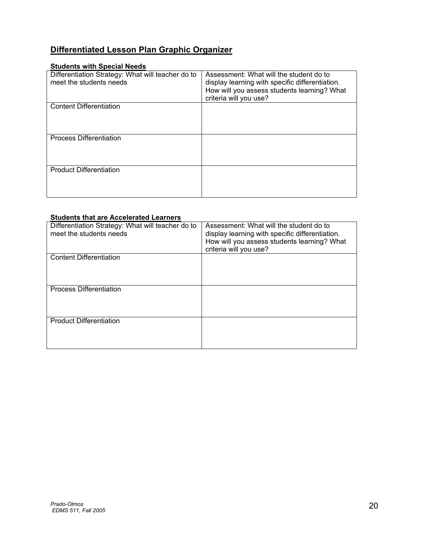# **Differentiated Lesson Plan Graphic Organizer**

# **Students with Special Needs**

| Differentiation Strategy: What will teacher do to<br>meet the students needs | Assessment: What will the student do to<br>display learning with specific differentiation.<br>How will you assess students learning? What<br>criteria will you use? |
|------------------------------------------------------------------------------|---------------------------------------------------------------------------------------------------------------------------------------------------------------------|
| <b>Content Differentiation</b>                                               |                                                                                                                                                                     |
| <b>Process Differentiation</b>                                               |                                                                                                                                                                     |
| <b>Product Differentiation</b>                                               |                                                                                                                                                                     |

### **Students that are Accelerated Learners**

| Differentiation Strategy: What will teacher do to<br>meet the students needs | Assessment: What will the student do to<br>display learning with specific differentiation.<br>How will you assess students learning? What<br>criteria will you use? |
|------------------------------------------------------------------------------|---------------------------------------------------------------------------------------------------------------------------------------------------------------------|
| <b>Content Differentiation</b>                                               |                                                                                                                                                                     |
| <b>Process Differentiation</b>                                               |                                                                                                                                                                     |
| <b>Product Differentiation</b>                                               |                                                                                                                                                                     |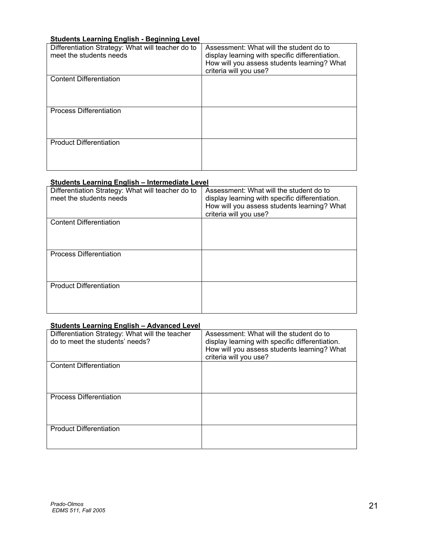# **Students Learning English - Beginning Level**

| Differentiation Strategy: What will teacher do to<br>meet the students needs | Assessment: What will the student do to<br>display learning with specific differentiation.<br>How will you assess students learning? What<br>criteria will you use? |
|------------------------------------------------------------------------------|---------------------------------------------------------------------------------------------------------------------------------------------------------------------|
| <b>Content Differentiation</b>                                               |                                                                                                                                                                     |
| <b>Process Differentiation</b>                                               |                                                                                                                                                                     |
| <b>Product Differentiation</b>                                               |                                                                                                                                                                     |

# **Students Learning English – Intermediate Level**

| Differentiation Strategy: What will teacher do to<br>meet the students needs | Assessment: What will the student do to<br>display learning with specific differentiation.<br>How will you assess students learning? What<br>criteria will you use? |
|------------------------------------------------------------------------------|---------------------------------------------------------------------------------------------------------------------------------------------------------------------|
| <b>Content Differentiation</b>                                               |                                                                                                                                                                     |
| <b>Process Differentiation</b>                                               |                                                                                                                                                                     |
| <b>Product Differentiation</b>                                               |                                                                                                                                                                     |

# **Students Learning English – Advanced Level**

| Differentiation Strategy: What will the teacher<br>do to meet the students' needs? | Assessment: What will the student do to<br>display learning with specific differentiation.<br>How will you assess students learning? What<br>criteria will you use? |
|------------------------------------------------------------------------------------|---------------------------------------------------------------------------------------------------------------------------------------------------------------------|
| <b>Content Differentiation</b>                                                     |                                                                                                                                                                     |
| <b>Process Differentiation</b>                                                     |                                                                                                                                                                     |
| <b>Product Differentiation</b>                                                     |                                                                                                                                                                     |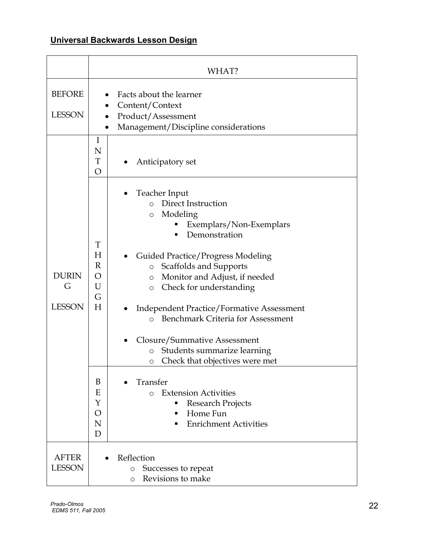# **Universal Backwards Lesson Design**

|                                    | WHAT?                                                                                                                                                                                                                                                                                                                                                                                                                                                                                                                                                                                                                                                 |
|------------------------------------|-------------------------------------------------------------------------------------------------------------------------------------------------------------------------------------------------------------------------------------------------------------------------------------------------------------------------------------------------------------------------------------------------------------------------------------------------------------------------------------------------------------------------------------------------------------------------------------------------------------------------------------------------------|
| <b>BEFORE</b><br><b>LESSON</b>     | Facts about the learner<br>Content/Context<br>Product/Assessment<br>Management/Discipline considerations<br>$\bullet$                                                                                                                                                                                                                                                                                                                                                                                                                                                                                                                                 |
|                                    | I<br>N<br>T<br>Anticipatory set<br>$\overline{O}$                                                                                                                                                                                                                                                                                                                                                                                                                                                                                                                                                                                                     |
| <b>DURIN</b><br>G<br><b>LESSON</b> | Teacher Input<br>Direct Instruction<br>$\Omega$<br>Modeling<br>$\circ$<br>Exemplars/Non-Exemplars<br>Demonstration<br>T<br>Н<br>Guided Practice/Progress Modeling<br>$\mathbb{R}$<br>Scaffolds and Supports<br>$\circ$<br>O<br>Monitor and Adjust, if needed<br>$\circ$<br>U<br>Check for understanding<br>$\circ$<br>G<br>H<br><b>Independent Practice/Formative Assessment</b><br><b>Benchmark Criteria for Assessment</b><br>$\circ$<br>Closure/Summative Assessment<br>Students summarize learning<br>$\circ$<br>Check that objectives were met<br>O<br>Transfer<br>B<br>E<br><b>Extension Activities</b><br>$\bigcirc$<br>Y<br>Research Projects |
|                                    | Home Fun<br>O<br><b>Enrichment Activities</b><br>N<br>D                                                                                                                                                                                                                                                                                                                                                                                                                                                                                                                                                                                               |
| <b>AFTER</b><br><b>LESSON</b>      | Reflection<br>Successes to repeat<br>$\circ$<br>Revisions to make<br>$\circ$                                                                                                                                                                                                                                                                                                                                                                                                                                                                                                                                                                          |